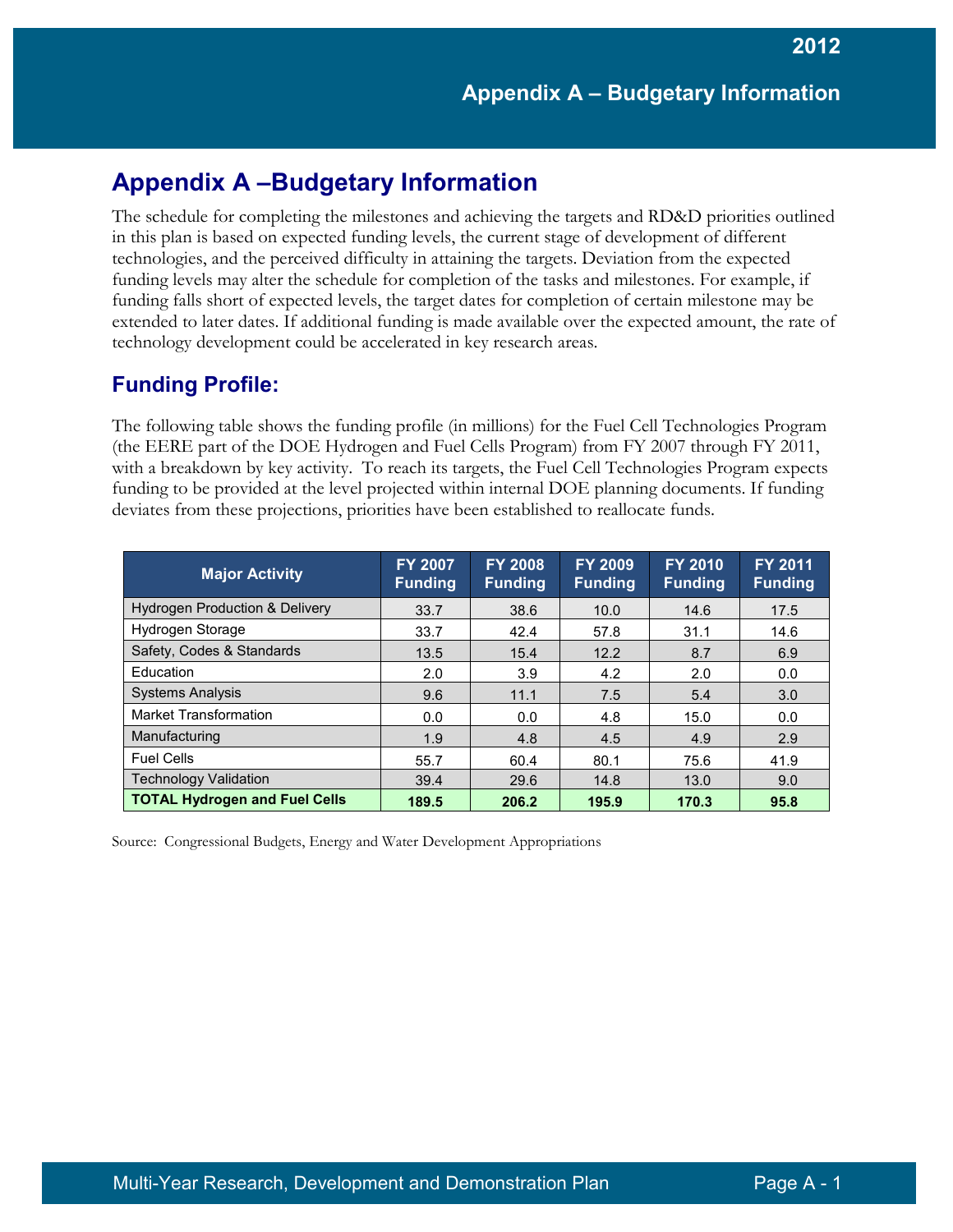### **Appendix A –Budgetary Information**

The schedule for completing the milestones and achieving the targets and RD&D priorities outlined in this plan is based on expected funding levels, the current stage of development of different technologies, and the perceived difficulty in attaining the targets. Deviation from the expected funding levels may alter the schedule for completion of the tasks and milestones. For example, if funding falls short of expected levels, the target dates for completion of certain milestone may be extended to later dates. If additional funding is made available over the expected amount, the rate of technology development could be accelerated in key research areas.

### **Funding Profile:**

The following table shows the funding profile (in millions) for the Fuel Cell Technologies Program (the EERE part of the DOE Hydrogen and Fuel Cells Program) from FY 2007 through FY 2011, with a breakdown by key activity. To reach its targets, the Fuel Cell Technologies Program expects funding to be provided at the level projected within internal DOE planning documents. If funding deviates from these projections, priorities have been established to reallocate funds.

| <b>Major Activity</b>                     | <b>FY 2007</b><br><b>Funding</b> | <b>FY 2008</b><br><b>Funding</b> | <b>FY 2009</b><br><b>Funding</b> | <b>FY 2010</b><br><b>Funding</b> | <b>FY 2011</b><br><b>Funding</b> |
|-------------------------------------------|----------------------------------|----------------------------------|----------------------------------|----------------------------------|----------------------------------|
| <b>Hydrogen Production &amp; Delivery</b> | 33.7                             | 38.6                             | 10.0                             | 14.6                             | 17.5                             |
| Hydrogen Storage                          | 33.7                             | 42.4                             | 57.8                             | 31.1                             | 14.6                             |
| Safety, Codes & Standards                 | 13.5                             | 15.4                             | 12.2                             | 8.7                              | 6.9                              |
| Education                                 | 2.0                              | 3.9                              | 4.2                              | 2.0                              | 0.0                              |
| <b>Systems Analysis</b>                   | 9.6                              | 11.1                             | 7.5                              | 5.4                              | 3.0                              |
| <b>Market Transformation</b>              | 0.0                              | 0.0                              | 4.8                              | 15.0                             | 0.0                              |
| Manufacturing                             | 1.9                              | 4.8                              | 4.5                              | 4.9                              | 2.9                              |
| <b>Fuel Cells</b>                         | 55.7                             | 60.4                             | 80.1                             | 75.6                             | 41.9                             |
| <b>Technology Validation</b>              | 39.4                             | 29.6                             | 14.8                             | 13.0                             | 9.0                              |
| <b>TOTAL Hydrogen and Fuel Cells</b>      | 189.5                            | 206.2                            | 195.9                            | 170.3                            | 95.8                             |

Source: Congressional Budgets, Energy and Water Development Appropriations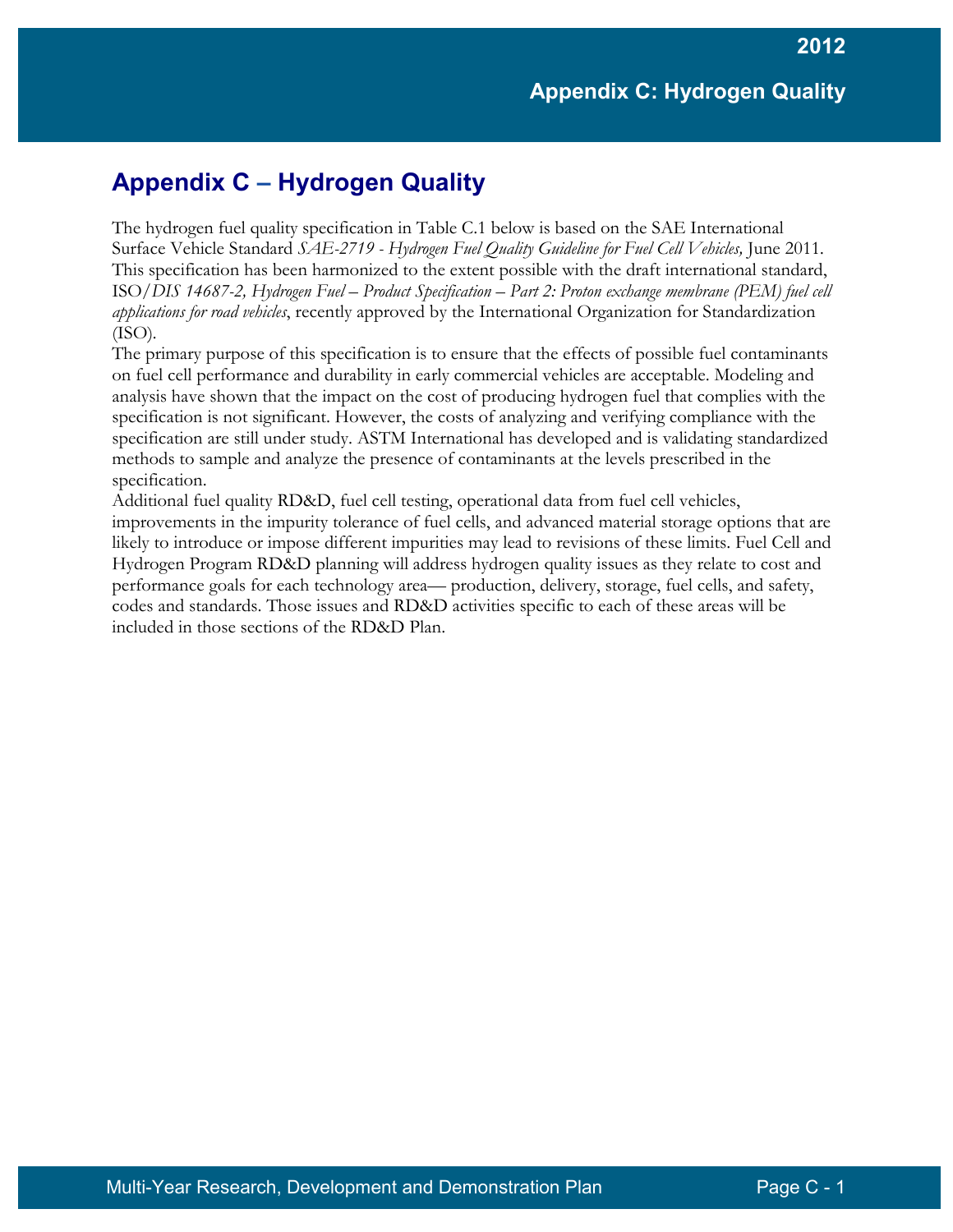### **Appendix C – Hydrogen Quality**

The hydrogen fuel quality specification in Table C.1 below is based on the SAE International Surface Vehicle Standard *SAE-2719 - Hydrogen Fuel Quality Guideline for Fuel Cell Vehicles,* June 2011*.*  This specification has been harmonized to the extent possible with the draft international standard, ISO*/DIS 14687-2, Hydrogen Fuel – Product Specification – Part 2: Proton exchange membrane (PEM) fuel cell applications for road vehicles*, recently approved by the International Organization for Standardization (ISO)*.*

The primary purpose of this specification is to ensure that the effects of possible fuel contaminants on fuel cell performance and durability in early commercial vehicles are acceptable. Modeling and analysis have shown that the impact on the cost of producing hydrogen fuel that complies with the specification is not significant. However, the costs of analyzing and verifying compliance with the specification are still under study. ASTM International has developed and is validating standardized methods to sample and analyze the presence of contaminants at the levels prescribed in the specification.

Additional fuel quality RD&D, fuel cell testing, operational data from fuel cell vehicles, improvements in the impurity tolerance of fuel cells, and advanced material storage options that are likely to introduce or impose different impurities may lead to revisions of these limits. Fuel Cell and Hydrogen Program RD&D planning will address hydrogen quality issues as they relate to cost and performance goals for each technology area— production, delivery, storage, fuel cells, and safety, codes and standards. Those issues and RD&D activities specific to each of these areas will be included in those sections of the RD&D Plan.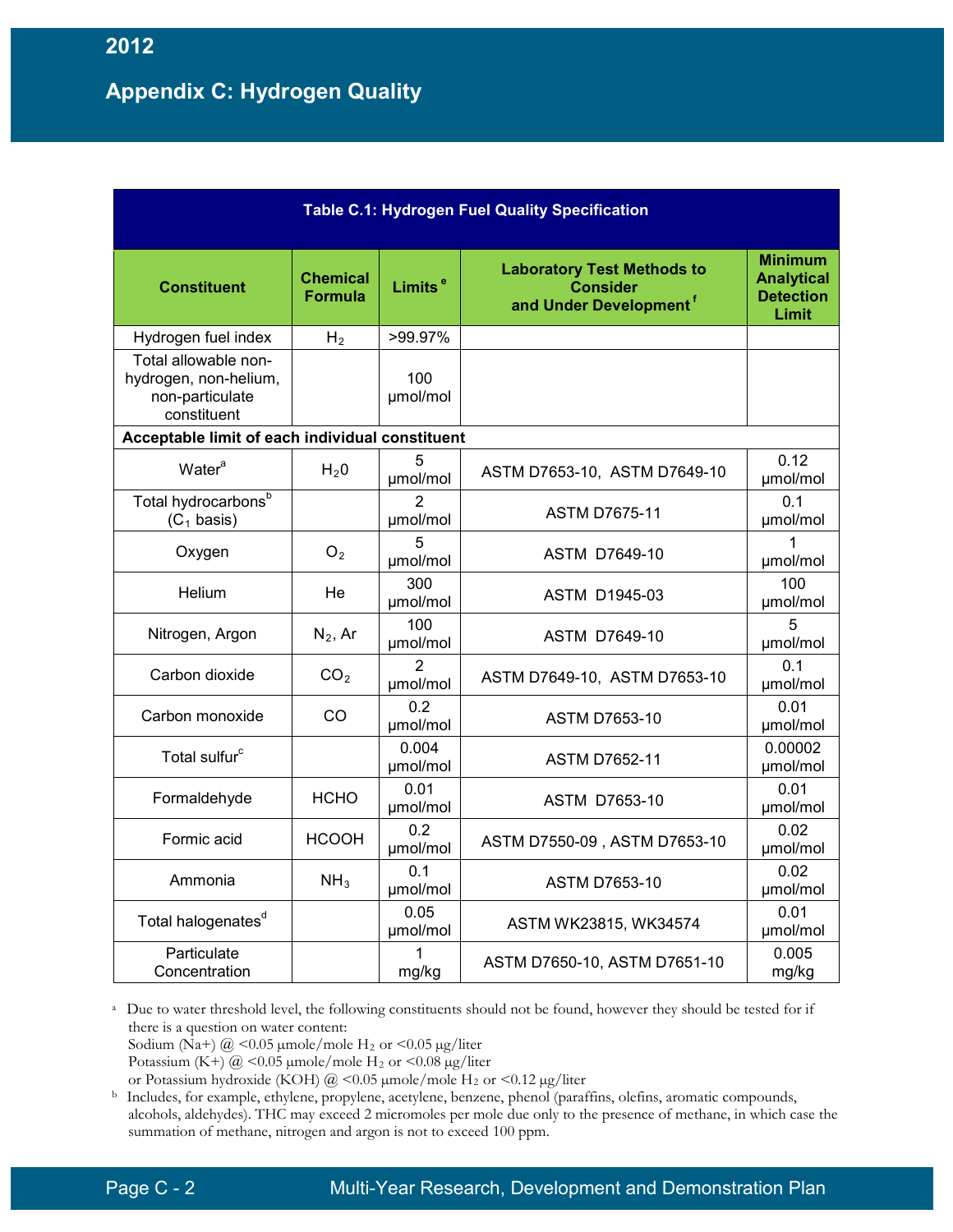### **Appendix C: Hydrogen Quality**

| <b>Table C.1: Hydrogen Fuel Quality Specification</b>                           |                            |                     |                                                                                            |                                                                  |
|---------------------------------------------------------------------------------|----------------------------|---------------------|--------------------------------------------------------------------------------------------|------------------------------------------------------------------|
| <b>Constituent</b>                                                              | Chemical<br><b>Formula</b> | Limits <sup>e</sup> | <b>Laboratory Test Methods to</b><br><b>Consider</b><br>and Under Development <sup>f</sup> | <b>Minimum</b><br><b>Analytical</b><br><b>Detection</b><br>Limit |
| Hydrogen fuel index                                                             | H <sub>2</sub>             | >99.97%             |                                                                                            |                                                                  |
| Total allowable non-<br>hydrogen, non-helium,<br>non-particulate<br>constituent |                            | 100<br>µmol/mol     |                                                                                            |                                                                  |
| Acceptable limit of each individual constituent                                 |                            |                     |                                                                                            |                                                                  |
| Water <sup>a</sup>                                                              | H <sub>2</sub> 0           | 5<br>umol/mol       | ASTM D7653-10, ASTM D7649-10                                                               | 0.12<br>µmol/mol                                                 |
| Total hydrocarbons <sup>b</sup><br>$(C_1$ basis)                                |                            | 2<br>µmol/mol       | <b>ASTM D7675-11</b>                                                                       | 0.1<br>µmol/mol                                                  |
| Oxygen                                                                          | O <sub>2</sub>             | 5<br>µmol/mol       | <b>ASTM D7649-10</b>                                                                       | µmol/mol                                                         |
| Helium                                                                          | He                         | 300<br>umol/mol     | <b>ASTM D1945-03</b>                                                                       | 100<br>µmol/mol                                                  |
| Nitrogen, Argon                                                                 | $N_2$ , Ar                 | 100<br>µmol/mol     | ASTM D7649-10                                                                              | 5<br>µmol/mol                                                    |
| Carbon dioxide                                                                  | CO <sub>2</sub>            | 2<br>µmol/mol       | ASTM D7649-10, ASTM D7653-10                                                               | 0.1<br>µmol/mol                                                  |
| Carbon monoxide                                                                 | CO                         | 0.2<br>µmol/mol     | <b>ASTM D7653-10</b>                                                                       | 0.01<br>µmol/mol                                                 |
| Total sulfur <sup>c</sup>                                                       |                            | 0.004<br>µmol/mol   | <b>ASTM D7652-11</b>                                                                       | 0.00002<br>umol/mol                                              |
| Formaldehyde                                                                    | <b>HCHO</b>                | 0.01<br>µmol/mol    | ASTM D7653-10                                                                              | 0.01<br>µmol/mol                                                 |
| Formic acid                                                                     | <b>HCOOH</b>               | 0.2<br>µmol/mol     | ASTM D7550-09, ASTM D7653-10                                                               | 0.02<br>µmol/mol                                                 |
| Ammonia                                                                         | NH <sub>3</sub>            | 0.1<br>umol/mol     | <b>ASTM D7653-10</b>                                                                       | 0.02<br>µmol/mol                                                 |
| Total halogenates <sup>d</sup>                                                  |                            | 0.05<br>µmol/mol    | ASTM WK23815, WK34574                                                                      | 0.01<br>µmol/mol                                                 |
| Particulate<br>Concentration                                                    |                            | 1<br>mg/kg          | ASTM D7650-10, ASTM D7651-10                                                               | 0.005<br>mg/kg                                                   |

<sup>a</sup> Due to water threshold level, the following constituents should not be found, however they should be tested for if there is a question on water content:

Sodium ( $\mathrm{Na}$ +) @ <0.05 µmole/mole H<sub>2</sub> or <0.05 µg/liter

Potassium (K+)  $\omega$  <0.05 µmole/mole H<sub>2</sub> or <0.08 µg/liter

or Potassium hydroxide (KOH) @ <0.05  $\mu$ mole/mole H<sub>2</sub> or <0.12  $\mu$ g/liter

<sup>b</sup> Includes, for example, ethylene, propylene, acetylene, benzene, phenol (paraffins, olefins, aromatic compounds, alcohols, aldehydes). THC may exceed 2 micromoles per mole due only to the presence of methane, in which case the summation of methane, nitrogen and argon is not to exceed 100 ppm.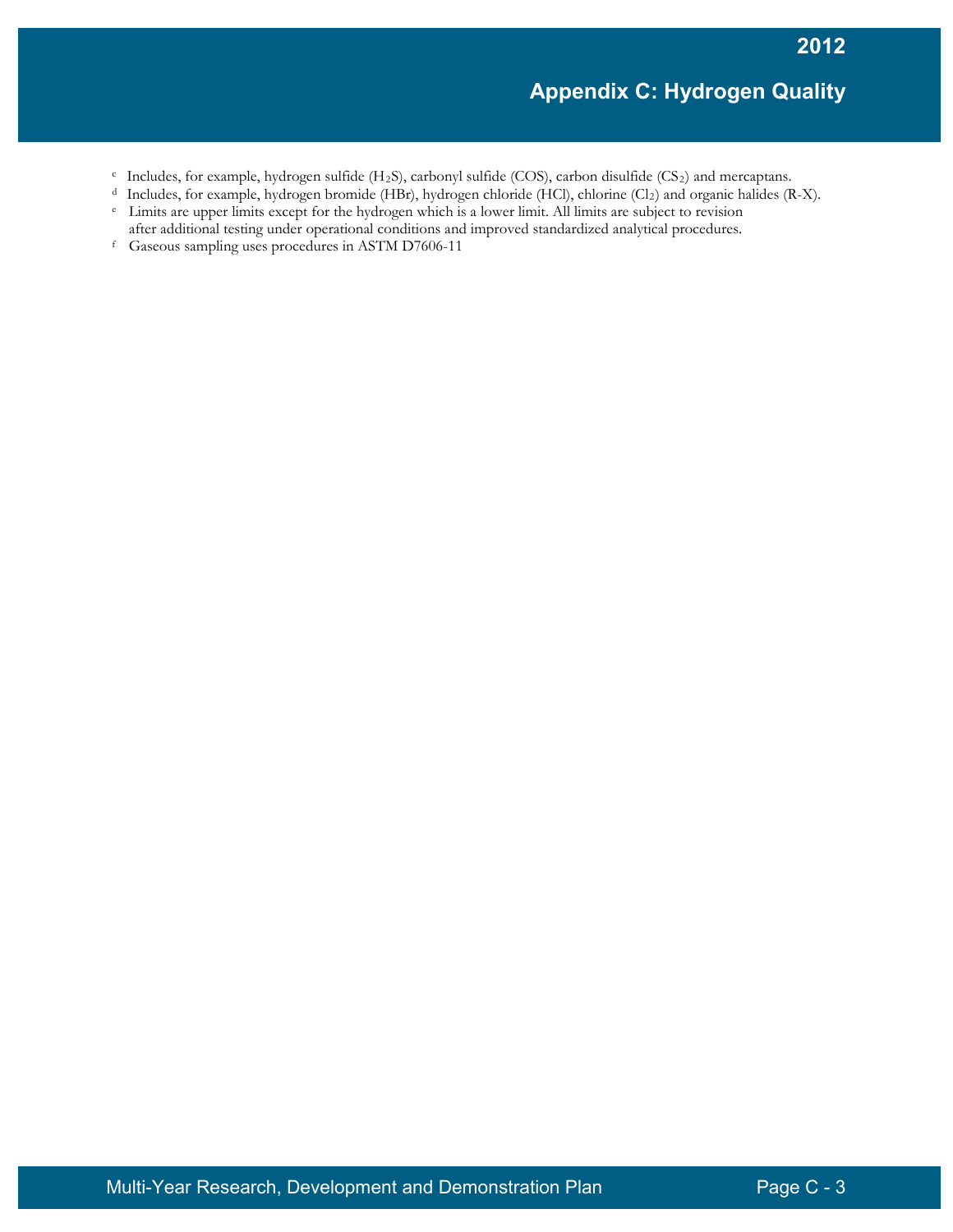- <sup>c</sup> Includes, for example, hydrogen sulfide (H2S), carbonyl sulfide (COS), carbon disulfide (CS2) and mercaptans.
- <sup>d</sup> Includes, for example, hydrogen bromide (HBr), hydrogen chloride (HCl), chlorine (Cl<sub>2</sub>) and organic halides (R-X).
- <sup>e</sup> Limits are upper limits except for the hydrogen which is a lower limit. All limits are subject to revision after additional testing under operational conditions and improved standardized analytical procedures.<br><sup>f</sup> Gaseous sampling uses procedures in ASTM D7606-11
-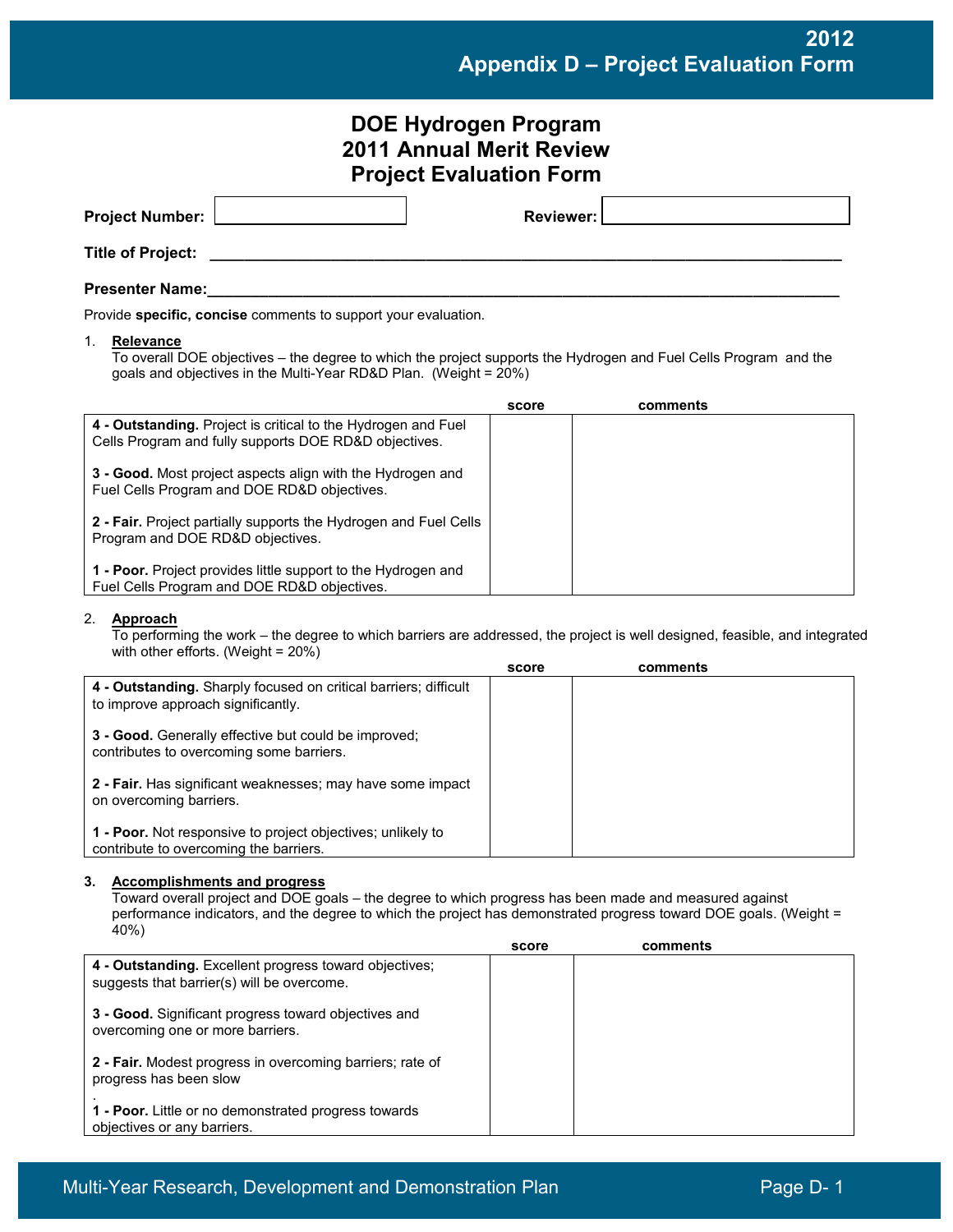**2012 Appendix D – Project Evaluation Form**

|                                                                                                       | <b>DOE Hydrogen Program</b><br><b>2011 Annual Merit Review</b><br><b>Project Evaluation Form</b>                                                                                                                                                                   |                  |                                                                                                                             |
|-------------------------------------------------------------------------------------------------------|--------------------------------------------------------------------------------------------------------------------------------------------------------------------------------------------------------------------------------------------------------------------|------------------|-----------------------------------------------------------------------------------------------------------------------------|
| <b>Project Number:</b>                                                                                |                                                                                                                                                                                                                                                                    | <b>Reviewer:</b> |                                                                                                                             |
| <b>Title of Project:</b>                                                                              |                                                                                                                                                                                                                                                                    |                  |                                                                                                                             |
| <b>Presenter Name:</b>                                                                                |                                                                                                                                                                                                                                                                    |                  |                                                                                                                             |
|                                                                                                       | Provide specific, concise comments to support your evaluation.                                                                                                                                                                                                     |                  |                                                                                                                             |
| 1.<br><b>Relevance</b>                                                                                | To overall DOE objectives - the degree to which the project supports the Hydrogen and Fuel Cells Program and the<br>goals and objectives in the Multi-Year RD&D Plan. (Weight = 20%)                                                                               |                  |                                                                                                                             |
|                                                                                                       |                                                                                                                                                                                                                                                                    | score            | comments                                                                                                                    |
|                                                                                                       | 4 - Outstanding. Project is critical to the Hydrogen and Fuel<br>Cells Program and fully supports DOE RD&D objectives.                                                                                                                                             |                  |                                                                                                                             |
|                                                                                                       | 3 - Good. Most project aspects align with the Hydrogen and<br>Fuel Cells Program and DOE RD&D objectives.                                                                                                                                                          |                  |                                                                                                                             |
| Program and DOE RD&D objectives.                                                                      | 2 - Fair. Project partially supports the Hydrogen and Fuel Cells                                                                                                                                                                                                   |                  |                                                                                                                             |
|                                                                                                       | 1 - Poor. Project provides little support to the Hydrogen and<br>Fuel Cells Program and DOE RD&D objectives.                                                                                                                                                       |                  |                                                                                                                             |
| 2.<br>Approach                                                                                        | with other efforts. (Weight = 20%)                                                                                                                                                                                                                                 |                  | To performing the work – the degree to which barriers are addressed, the project is well designed, feasible, and integrated |
|                                                                                                       |                                                                                                                                                                                                                                                                    | score            | comments                                                                                                                    |
| to improve approach significantly.                                                                    | 4 - Outstanding. Sharply focused on critical barriers; difficult                                                                                                                                                                                                   |                  |                                                                                                                             |
|                                                                                                       | 3 - Good. Generally effective but could be improved;<br>contributes to overcoming some barriers.                                                                                                                                                                   |                  |                                                                                                                             |
| on overcoming barriers.                                                                               | 2 - Fair. Has significant weaknesses; may have some impact                                                                                                                                                                                                         |                  |                                                                                                                             |
| 1 - Poor. Not responsive to project objectives; unlikely to<br>contribute to overcoming the barriers. |                                                                                                                                                                                                                                                                    |                  |                                                                                                                             |
| 3.<br>40%)                                                                                            | <b>Accomplishments and progress</b><br>Toward overall project and DOE goals - the degree to which progress has been made and measured against<br>performance indicators, and the degree to which the project has demonstrated progress toward DOE goals. (Weight = | score            | comments                                                                                                                    |
|                                                                                                       | 4 - Outstanding. Excellent progress toward objectives;                                                                                                                                                                                                             |                  |                                                                                                                             |
|                                                                                                       | suggests that barrier(s) will be overcome.                                                                                                                                                                                                                         |                  |                                                                                                                             |
| 3 - Good. Significant progress toward objectives and<br>overcoming one or more barriers.              |                                                                                                                                                                                                                                                                    |                  |                                                                                                                             |
| progress has been slow                                                                                | 2 - Fair. Modest progress in overcoming barriers; rate of                                                                                                                                                                                                          |                  |                                                                                                                             |

**1 - Poor.** Little or no demonstrated progress towards objectives or any barriers.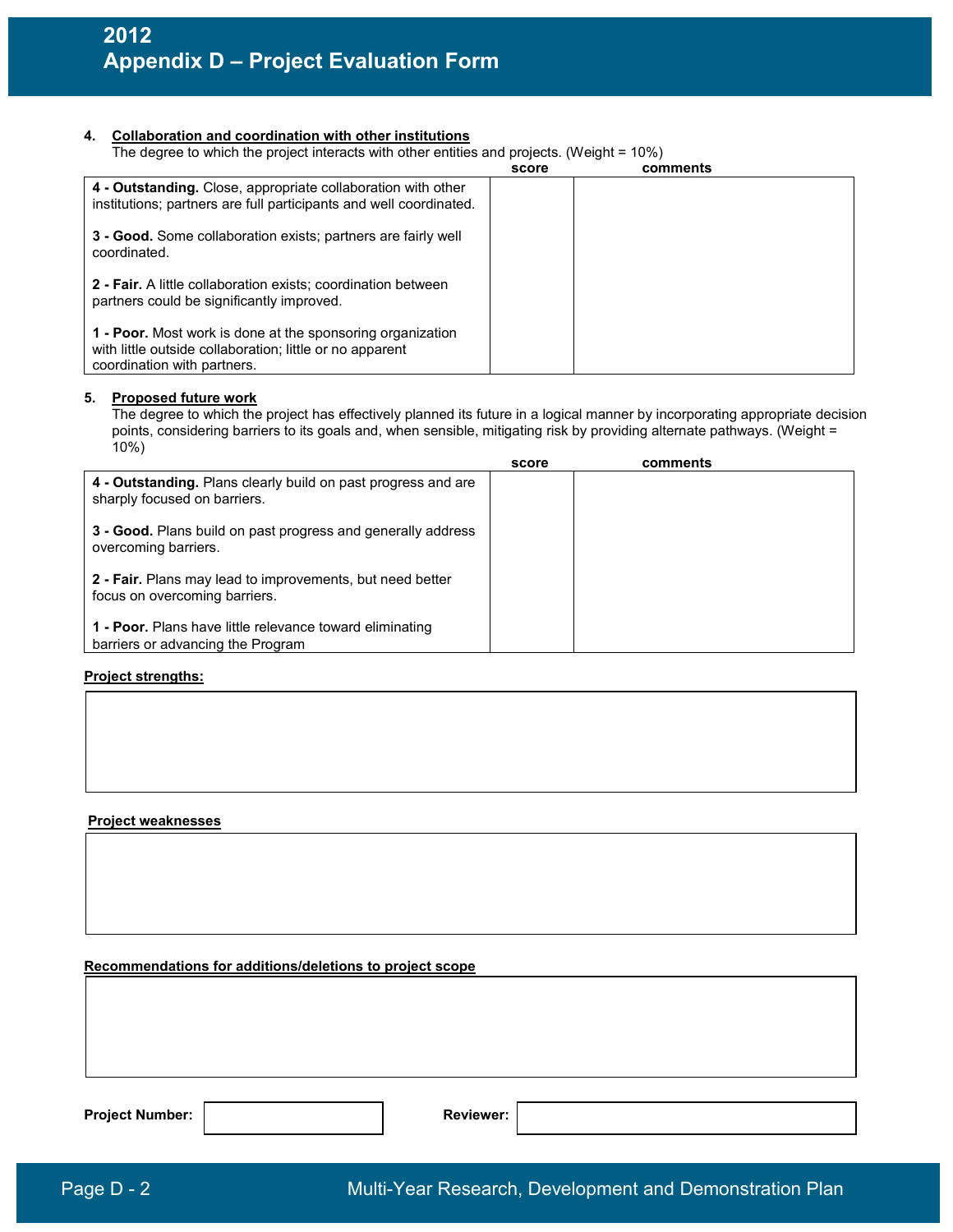#### **4. Collaboration and coordination with other institutions**

| The degree to which the project interacts with other entities and projects. (Weight = 10%) |  |  |  |  |
|--------------------------------------------------------------------------------------------|--|--|--|--|
|                                                                                            |  |  |  |  |

|                                                                                                                                                       | score | comments |
|-------------------------------------------------------------------------------------------------------------------------------------------------------|-------|----------|
| 4 - Outstanding. Close, appropriate collaboration with other<br>institutions; partners are full participants and well coordinated.                    |       |          |
| 3 - Good. Some collaboration exists; partners are fairly well<br>coordinated.                                                                         |       |          |
| 2 - Fair. A little collaboration exists; coordination between<br>partners could be significantly improved.                                            |       |          |
| 1 - Poor. Most work is done at the sponsoring organization<br>with little outside collaboration; little or no apparent<br>coordination with partners. |       |          |

#### **5. Proposed future work**

 The degree to which the project has effectively planned its future in a logical manner by incorporating appropriate decision points, considering barriers to its goals and, when sensible, mitigating risk by providing alternate pathways. (Weight = 10%)

|                                                                                               | score | comments |
|-----------------------------------------------------------------------------------------------|-------|----------|
| 4 - Outstanding. Plans clearly build on past progress and are<br>sharply focused on barriers. |       |          |
| 3 - Good. Plans build on past progress and generally address<br>overcoming barriers.          |       |          |
| 2 - Fair. Plans may lead to improvements, but need better<br>focus on overcoming barriers.    |       |          |
| 1 - Poor. Plans have little relevance toward eliminating<br>barriers or advancing the Program |       |          |

#### **Project strengths:**

#### **Project weaknesses**

#### **Recommendations for additions/deletions to project scope**

Project Number: **Reviewer: Reviewer: Reviewer: Reviewer: Reviewer: Reviewer: Reviewer: Reviewer: Reviewer: Reviewer: Reviewer: Reviewer: Reviewer: Reviewer: Reviewer: Reviewer: Reviewer: R**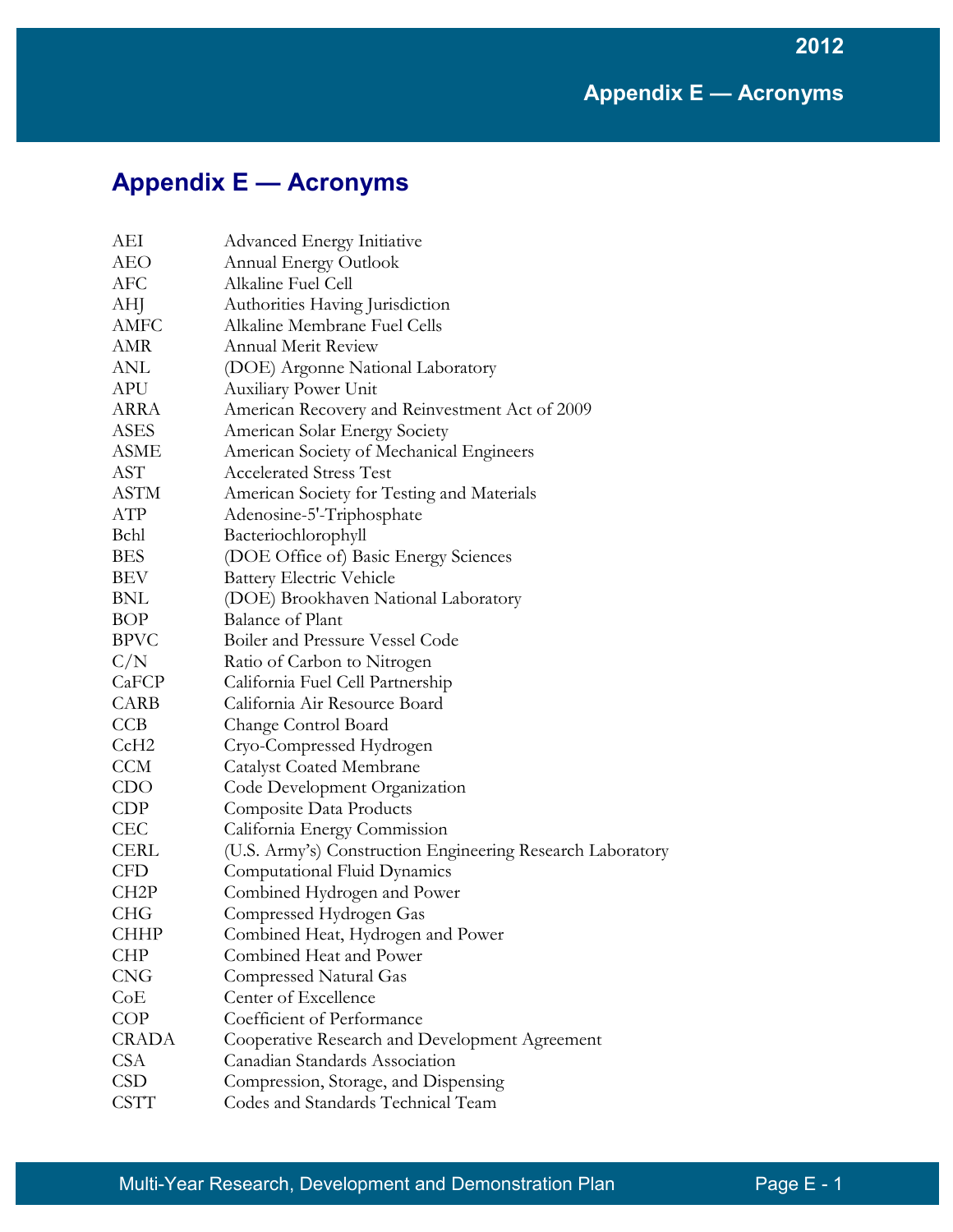**2012**

| AEI               | <b>Advanced Energy Initiative</b>                          |
|-------------------|------------------------------------------------------------|
| AEO               | <b>Annual Energy Outlook</b>                               |
| AFC               | Alkaline Fuel Cell                                         |
| AHJ               | Authorities Having Jurisdiction                            |
| <b>AMFC</b>       | Alkaline Membrane Fuel Cells                               |
| AMR               | <b>Annual Merit Review</b>                                 |
| ANL               | (DOE) Argonne National Laboratory                          |
| <b>APU</b>        | <b>Auxiliary Power Unit</b>                                |
| ARRA              | American Recovery and Reinvestment Act of 2009             |
| ASES              | American Solar Energy Society                              |
| ASME              | American Society of Mechanical Engineers                   |
| AST               | <b>Accelerated Stress Test</b>                             |
| <b>ASTM</b>       | American Society for Testing and Materials                 |
| ATP               | Adenosine-5'-Triphosphate                                  |
| Bchl              | Bacteriochlorophyll                                        |
| <b>BES</b>        | (DOE Office of) Basic Energy Sciences                      |
| BEV               | <b>Battery Electric Vehicle</b>                            |
| BNL               | (DOE) Brookhaven National Laboratory                       |
| <b>BOP</b>        | <b>Balance of Plant</b>                                    |
| <b>BPVC</b>       | Boiler and Pressure Vessel Code                            |
| C/N               | Ratio of Carbon to Nitrogen                                |
| CaFCP             | California Fuel Cell Partnership                           |
| CARB              | California Air Resource Board                              |
| <b>CCB</b>        | Change Control Board                                       |
| CcH <sub>2</sub>  | Cryo-Compressed Hydrogen                                   |
| <b>CCM</b>        | <b>Catalyst Coated Membrane</b>                            |
| CDO               | Code Development Organization                              |
| CDP               | Composite Data Products                                    |
| <b>CEC</b>        | California Energy Commission                               |
| <b>CERL</b>       | (U.S. Army's) Construction Engineering Research Laboratory |
| <b>CFD</b>        | Computational Fluid Dynamics                               |
| CH <sub>2</sub> P | Combined Hydrogen and Power                                |
| <b>CHG</b>        | Compressed Hydrogen Gas                                    |
| <b>CHHP</b>       | Combined Heat, Hydrogen and Power                          |
| <b>CHP</b>        | Combined Heat and Power                                    |
| <b>CNG</b>        | Compressed Natural Gas                                     |
| CoE               | Center of Excellence                                       |
| <b>COP</b>        | Coefficient of Performance                                 |
| <b>CRADA</b>      | Cooperative Research and Development Agreement             |
| <b>CSA</b>        | Canadian Standards Association                             |
| <b>CSD</b>        | Compression, Storage, and Dispensing                       |
| <b>CSTT</b>       | Codes and Standards Technical Team                         |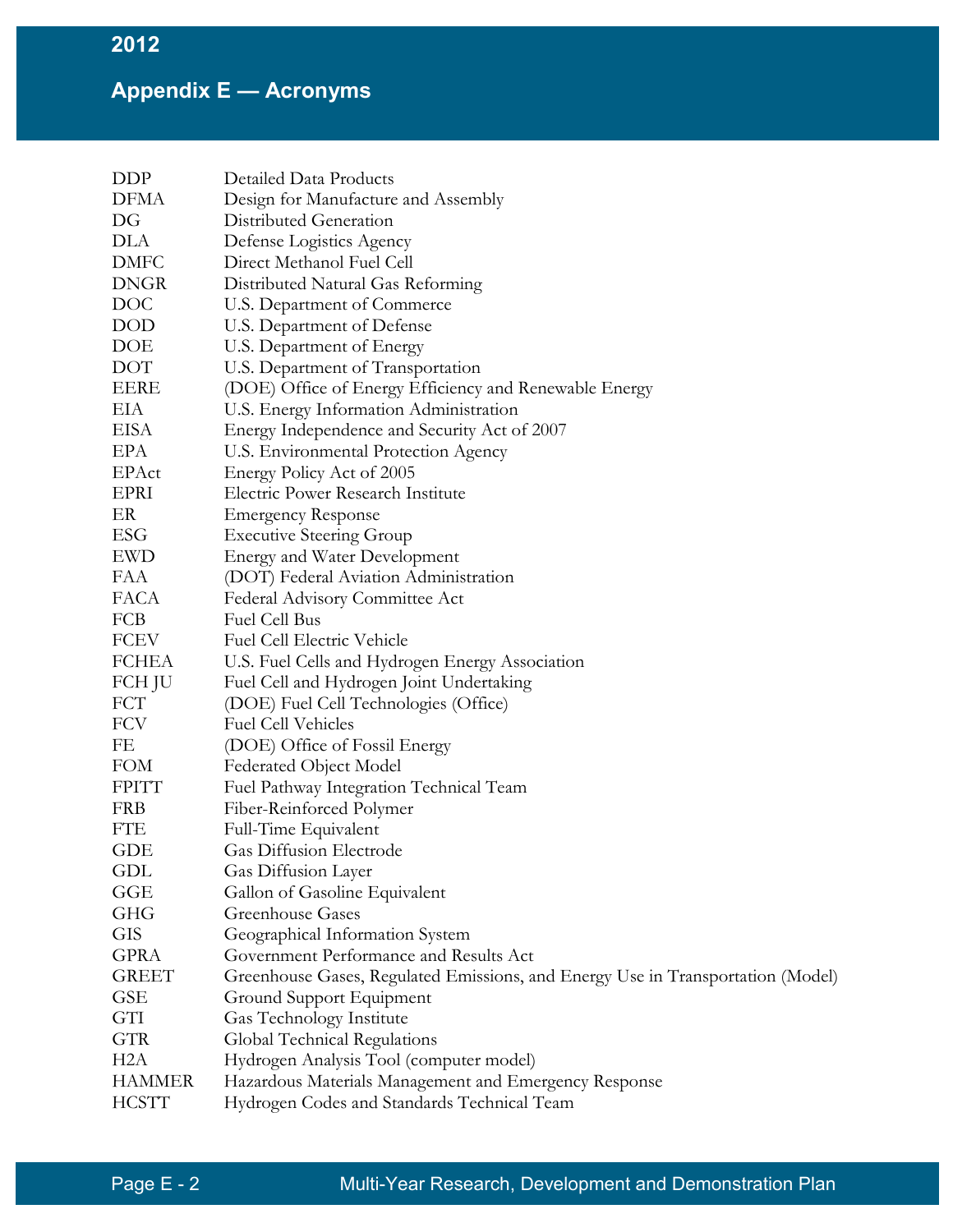| <b>DDP</b>       | Detailed Data Products                                                          |
|------------------|---------------------------------------------------------------------------------|
| <b>DFMA</b>      | Design for Manufacture and Assembly                                             |
| DG               | Distributed Generation                                                          |
| DLA              | Defense Logistics Agency                                                        |
| <b>DMFC</b>      | Direct Methanol Fuel Cell                                                       |
| <b>DNGR</b>      | Distributed Natural Gas Reforming                                               |
| <b>DOC</b>       | U.S. Department of Commerce                                                     |
| <b>DOD</b>       | U.S. Department of Defense                                                      |
| DOE              | U.S. Department of Energy                                                       |
| <b>DOT</b>       | U.S. Department of Transportation                                               |
| EERE             | (DOE) Office of Energy Efficiency and Renewable Energy                          |
| EIA              | U.S. Energy Information Administration                                          |
| <b>EISA</b>      | Energy Independence and Security Act of 2007                                    |
| EPA              | U.S. Environmental Protection Agency                                            |
| EPAct            | Energy Policy Act of 2005                                                       |
| EPRI             | Electric Power Research Institute                                               |
| ER               | <b>Emergency Response</b>                                                       |
| ESG              | <b>Executive Steering Group</b>                                                 |
| <b>EWD</b>       | <b>Energy and Water Development</b>                                             |
| FAA              | (DOT) Federal Aviation Administration                                           |
| <b>FACA</b>      | Federal Advisory Committee Act                                                  |
| FCB              | <b>Fuel Cell Bus</b>                                                            |
| <b>FCEV</b>      | Fuel Cell Electric Vehicle                                                      |
| <b>FCHEA</b>     | U.S. Fuel Cells and Hydrogen Energy Association                                 |
| FCH JU           | Fuel Cell and Hydrogen Joint Undertaking                                        |
| <b>FCT</b>       | (DOE) Fuel Cell Technologies (Office)                                           |
| <b>FCV</b>       | <b>Fuel Cell Vehicles</b>                                                       |
| FE               | (DOE) Office of Fossil Energy                                                   |
| <b>FOM</b>       | Federated Object Model                                                          |
| <b>FPITT</b>     | Fuel Pathway Integration Technical Team                                         |
| <b>FRB</b>       | Fiber-Reinforced Polymer                                                        |
| <b>FTE</b>       | Full-Time Equivalent                                                            |
| <b>GDE</b>       | <b>Gas Diffusion Electrode</b>                                                  |
| GDL              | Gas Diffusion Layer                                                             |
| GGE              | Gallon of Gasoline Equivalent                                                   |
| <b>GHG</b>       | Greenhouse Gases                                                                |
| <b>GIS</b>       | Geographical Information System                                                 |
| <b>GPRA</b>      | Government Performance and Results Act                                          |
| <b>GREET</b>     | Greenhouse Gases, Regulated Emissions, and Energy Use in Transportation (Model) |
| <b>GSE</b>       | Ground Support Equipment                                                        |
| GTI              | Gas Technology Institute                                                        |
| <b>GTR</b>       | Global Technical Regulations                                                    |
| H <sub>2</sub> A | Hydrogen Analysis Tool (computer model)                                         |
| <b>HAMMER</b>    | Hazardous Materials Management and Emergency Response                           |
| <b>HCSTT</b>     | Hydrogen Codes and Standards Technical Team                                     |
|                  |                                                                                 |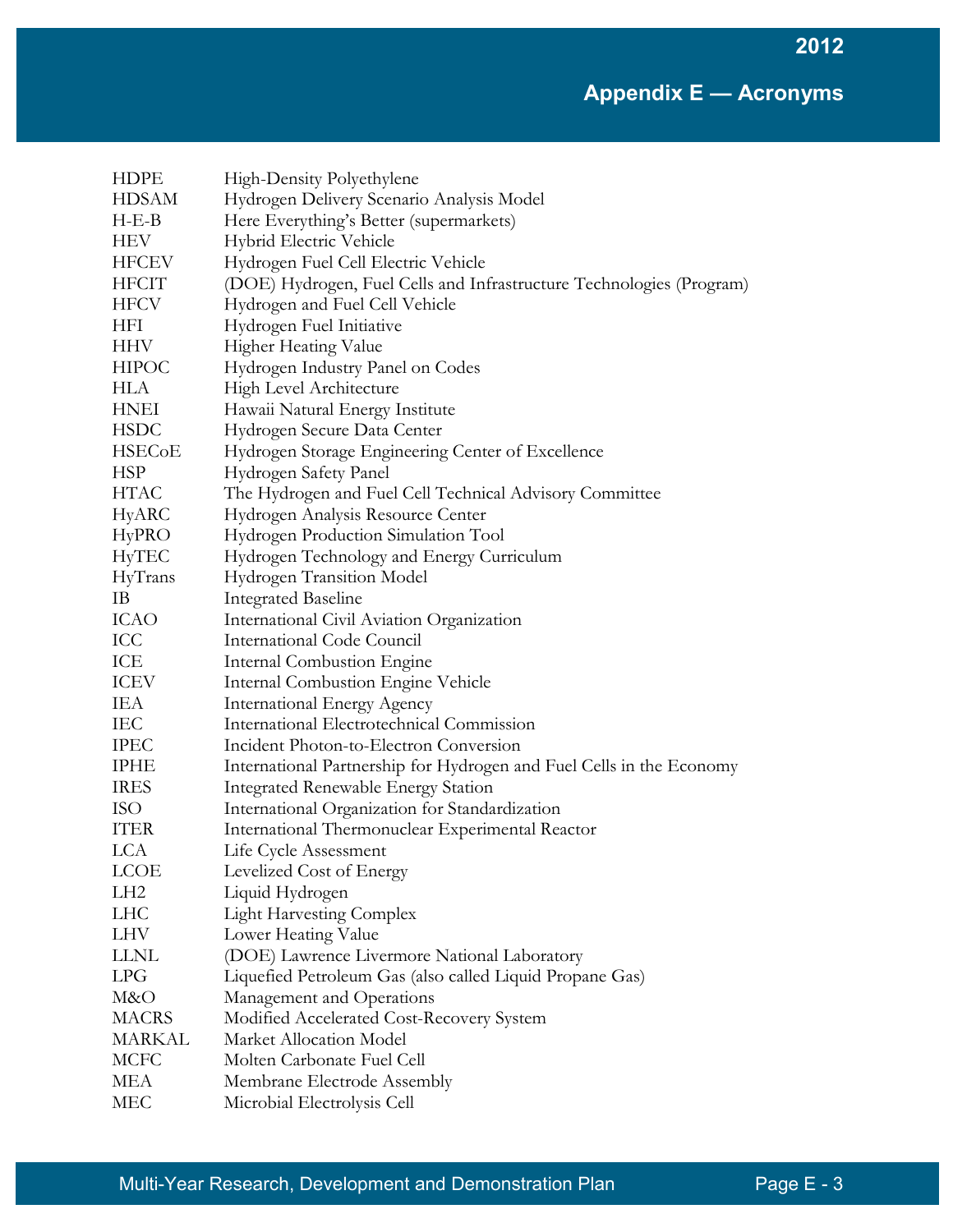| <b>HDPE</b>     | High-Density Polyethylene                                            |
|-----------------|----------------------------------------------------------------------|
| <b>HDSAM</b>    | Hydrogen Delivery Scenario Analysis Model                            |
| $H-E-B$         | Here Everything's Better (supermarkets)                              |
| HEV             | Hybrid Electric Vehicle                                              |
| <b>HFCEV</b>    | Hydrogen Fuel Cell Electric Vehicle                                  |
| <b>HFCIT</b>    | (DOE) Hydrogen, Fuel Cells and Infrastructure Technologies (Program) |
| <b>HFCV</b>     | Hydrogen and Fuel Cell Vehicle                                       |
| HFI             | Hydrogen Fuel Initiative                                             |
| <b>HHV</b>      | Higher Heating Value                                                 |
| <b>HIPOC</b>    | Hydrogen Industry Panel on Codes                                     |
| HLA             | High Level Architecture                                              |
| <b>HNEI</b>     | Hawaii Natural Energy Institute                                      |
| <b>HSDC</b>     | Hydrogen Secure Data Center                                          |
| <b>HSECoE</b>   | Hydrogen Storage Engineering Center of Excellence                    |
| <b>HSP</b>      | Hydrogen Safety Panel                                                |
| <b>HTAC</b>     | The Hydrogen and Fuel Cell Technical Advisory Committee              |
| HyARC           | Hydrogen Analysis Resource Center                                    |
| HyPRO           | Hydrogen Production Simulation Tool                                  |
| HyTEC           | Hydrogen Technology and Energy Curriculum                            |
| HyTrans         | Hydrogen Transition Model                                            |
| IB              | <b>Integrated Baseline</b>                                           |
| <b>ICAO</b>     | International Civil Aviation Organization                            |
| ICC             | International Code Council                                           |
| ICE             | Internal Combustion Engine                                           |
| ICEV            | <b>Internal Combustion Engine Vehicle</b>                            |
| IEA             | <b>International Energy Agency</b>                                   |
| IEC             | International Electrotechnical Commission                            |
| <b>IPEC</b>     | Incident Photon-to-Electron Conversion                               |
| <b>IPHE</b>     | International Partnership for Hydrogen and Fuel Cells in the Economy |
| <b>IRES</b>     | <b>Integrated Renewable Energy Station</b>                           |
| <b>ISO</b>      | International Organization for Standardization                       |
| <b>ITER</b>     | International Thermonuclear Experimental Reactor                     |
| <b>LCA</b>      | Life Cycle Assessment                                                |
| <b>LCOE</b>     | Levelized Cost of Energy                                             |
| LH <sub>2</sub> | Liquid Hydrogen                                                      |
| LHC             | <b>Light Harvesting Complex</b>                                      |
| <b>LHV</b>      | Lower Heating Value                                                  |
| <b>LLNL</b>     | (DOE) Lawrence Livermore National Laboratory                         |
| LPG             | Liquefied Petroleum Gas (also called Liquid Propane Gas)             |
| M&O             | Management and Operations                                            |
| <b>MACRS</b>    | Modified Accelerated Cost-Recovery System                            |
| MARKAL          | Market Allocation Model                                              |
| <b>MCFC</b>     | Molten Carbonate Fuel Cell                                           |
| MEA             | Membrane Electrode Assembly                                          |
| <b>MEC</b>      | Microbial Electrolysis Cell                                          |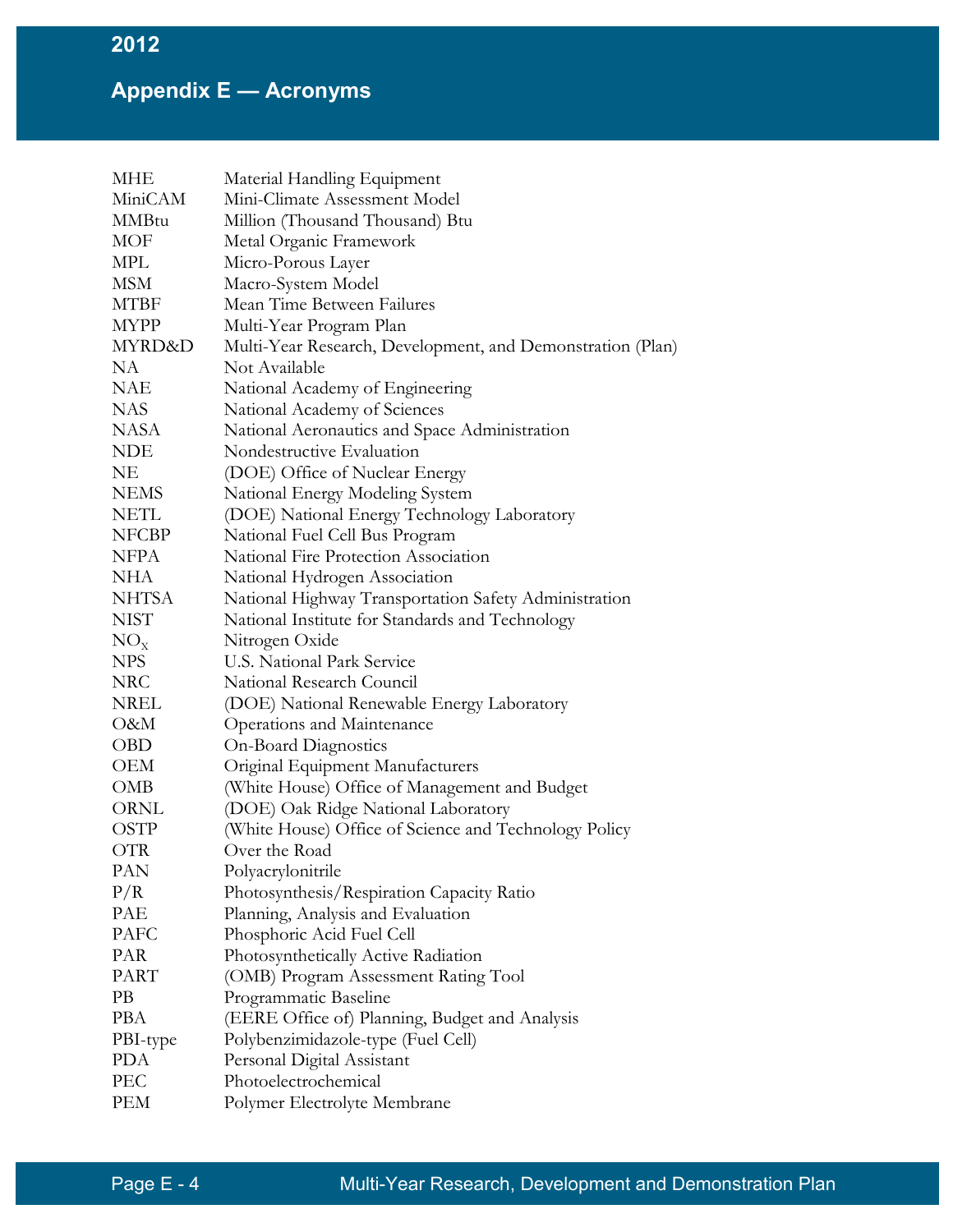| MHE          | Material Handling Equipment                                |
|--------------|------------------------------------------------------------|
| MiniCAM      | Mini-Climate Assessment Model                              |
| <b>MMBtu</b> | Million (Thousand Thousand) Btu                            |
| MOF          | Metal Organic Framework                                    |
| MPL          | Micro-Porous Layer                                         |
| MSM          | Macro-System Model                                         |
| MTBF         | Mean Time Between Failures                                 |
| <b>MYPP</b>  | Multi-Year Program Plan                                    |
| MYRD&D       | Multi-Year Research, Development, and Demonstration (Plan) |
| NA           | Not Available                                              |
| NAE          | National Academy of Engineering                            |
| <b>NAS</b>   | National Academy of Sciences                               |
| NASA         | National Aeronautics and Space Administration              |
| <b>NDE</b>   | Nondestructive Evaluation                                  |
| NE           | (DOE) Office of Nuclear Energy                             |
| <b>NEMS</b>  | National Energy Modeling System                            |
| <b>NETL</b>  | (DOE) National Energy Technology Laboratory                |
| <b>NFCBP</b> | National Fuel Cell Bus Program                             |
| <b>NFPA</b>  | National Fire Protection Association                       |
| NHA          | National Hydrogen Association                              |
| <b>NHTSA</b> | National Highway Transportation Safety Administration      |
| <b>NIST</b>  | National Institute for Standards and Technology            |
| $NO_{X}$     | Nitrogen Oxide                                             |
| <b>NPS</b>   | U.S. National Park Service                                 |
| NRC          | National Research Council                                  |
| NREL         | (DOE) National Renewable Energy Laboratory                 |
| O&M          | Operations and Maintenance                                 |
| <b>OBD</b>   | <b>On-Board Diagnostics</b>                                |
| OEM          | Original Equipment Manufacturers                           |
| <b>OMB</b>   | (White House) Office of Management and Budget              |
| ORNL         | (DOE) Oak Ridge National Laboratory                        |
| <b>OSTP</b>  | (White House) Office of Science and Technology Policy      |
| <b>OTR</b>   | Over the Road                                              |
| PAN          | Polyacrylonitrile                                          |
| P/R          | Photosynthesis/Respiration Capacity Ratio                  |
| PAE          | Planning, Analysis and Evaluation                          |
| <b>PAFC</b>  | Phosphoric Acid Fuel Cell                                  |
| PAR          | Photosynthetically Active Radiation                        |
| <b>PART</b>  | (OMB) Program Assessment Rating Tool                       |
| PB           | Programmatic Baseline                                      |
| <b>PBA</b>   | (EERE Office of) Planning, Budget and Analysis             |
| PBI-type     | Polybenzimidazole-type (Fuel Cell)                         |
| <b>PDA</b>   | Personal Digital Assistant                                 |
| PEC          | Photoelectrochemical                                       |
| PEM          | Polymer Electrolyte Membrane                               |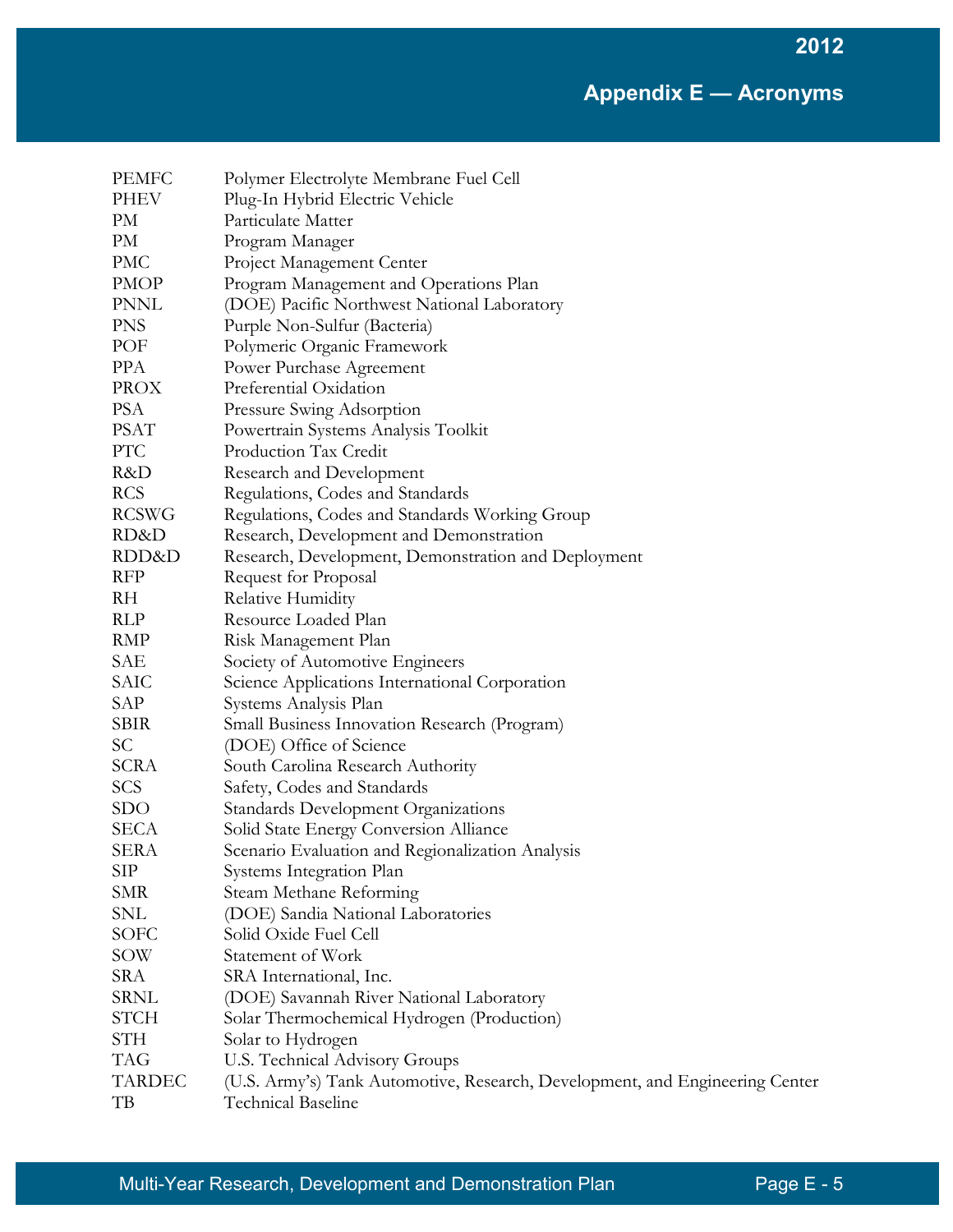| <b>PEMFC</b>        | Polymer Electrolyte Membrane Fuel Cell                                                             |
|---------------------|----------------------------------------------------------------------------------------------------|
| PHEV                | Plug-In Hybrid Electric Vehicle                                                                    |
| PM                  | Particulate Matter                                                                                 |
| PM                  | Program Manager                                                                                    |
| <b>PMC</b>          | Project Management Center                                                                          |
| <b>PMOP</b>         | Program Management and Operations Plan                                                             |
| <b>PNNL</b>         | (DOE) Pacific Northwest National Laboratory                                                        |
| <b>PNS</b>          | Purple Non-Sulfur (Bacteria)                                                                       |
| POF                 | Polymeric Organic Framework                                                                        |
| <b>PPA</b>          | Power Purchase Agreement                                                                           |
| <b>PROX</b>         | Preferential Oxidation                                                                             |
| <b>PSA</b>          | Pressure Swing Adsorption                                                                          |
| <b>PSAT</b>         | Powertrain Systems Analysis Toolkit                                                                |
| <b>PTC</b>          | Production Tax Credit                                                                              |
| R&D                 | Research and Development                                                                           |
| <b>RCS</b>          | Regulations, Codes and Standards                                                                   |
| <b>RCSWG</b>        | Regulations, Codes and Standards Working Group                                                     |
| RD&D                | Research, Development and Demonstration                                                            |
| RDD&D               | Research, Development, Demonstration and Deployment                                                |
| <b>RFP</b>          | Request for Proposal                                                                               |
| RH                  | Relative Humidity                                                                                  |
| <b>RLP</b>          | Resource Loaded Plan                                                                               |
| <b>RMP</b>          | Risk Management Plan                                                                               |
| SAE                 | Society of Automotive Engineers                                                                    |
| SAIC                | Science Applications International Corporation                                                     |
| SAP                 | Systems Analysis Plan                                                                              |
| <b>SBIR</b>         | <b>Small Business Innovation Research (Program)</b>                                                |
| SC                  | (DOE) Office of Science                                                                            |
| <b>SCRA</b>         | South Carolina Research Authority                                                                  |
| SCS                 | Safety, Codes and Standards                                                                        |
| <b>SDO</b>          | <b>Standards Development Organizations</b>                                                         |
| <b>SECA</b>         | Solid State Energy Conversion Alliance                                                             |
| <b>SERA</b>         | Scenario Evaluation and Regionalization Analysis                                                   |
| <b>SIP</b>          | Systems Integration Plan                                                                           |
| <b>SMR</b>          | Steam Methane Reforming                                                                            |
| SNL                 | (DOE) Sandia National Laboratories                                                                 |
| SOFC                | Solid Oxide Fuel Cell                                                                              |
| SOW                 | Statement of Work                                                                                  |
| <b>SRA</b>          | SRA International, Inc.                                                                            |
| <b>SRNL</b>         | (DOE) Savannah River National Laboratory                                                           |
| <b>STCH</b>         | Solar Thermochemical Hydrogen (Production)                                                         |
| <b>STH</b>          | Solar to Hydrogen                                                                                  |
| <b>TAG</b>          | U.S. Technical Advisory Groups                                                                     |
| <b>TARDEC</b><br>TB | (U.S. Army's) Tank Automotive, Research, Development, and Engineering Center<br>Technical Baseline |
|                     |                                                                                                    |